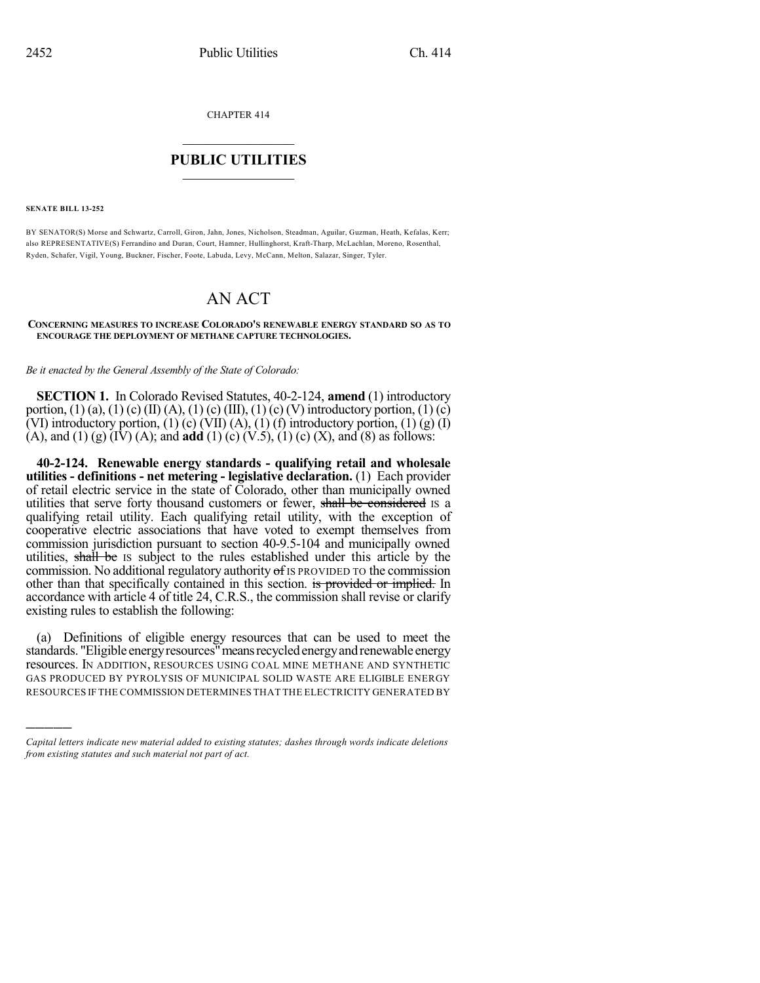CHAPTER 414

## $\mathcal{L}_\text{max}$  . The set of the set of the set of the set of the set of the set of the set of the set of the set of the set of the set of the set of the set of the set of the set of the set of the set of the set of the set **PUBLIC UTILITIES** \_\_\_\_\_\_\_\_\_\_\_\_\_\_\_

**SENATE BILL 13-252**

)))))

BY SENATOR(S) Morse and Schwartz, Carroll, Giron, Jahn, Jones, Nicholson, Steadman, Aguilar, Guzman, Heath, Kefalas, Kerr; also REPRESENTATIVE(S) Ferrandino and Duran, Court, Hamner, Hullinghorst, Kraft-Tharp, McLachlan, Moreno, Rosenthal, Ryden, Schafer, Vigil, Young, Buckner, Fischer, Foote, Labuda, Levy, McCann, Melton, Salazar, Singer, Tyler.

# AN ACT

#### **CONCERNING MEASURES TO INCREASE COLORADO'S RENEWABLE ENERGY STANDARD SO AS TO ENCOURAGE THE DEPLOYMENT OF METHANE CAPTURE TECHNOLOGIES.**

*Be it enacted by the General Assembly of the State of Colorado:*

**SECTION 1.** In Colorado Revised Statutes, 40-2-124, **amend** (1) introductory portion,  $(1)$  (a),  $(1)$  (c)  $(II)$  (A),  $(1)$  (c)  $(III)$ ,  $(1)$  (c)  $(V)$  introductory portion,  $(1)$  (c) (VI) introductory portion, (1) (c) (VII) (A), (1) (f) introductory portion, (1) (g) (I) (A), and (1) (g)  $(I\hat{V})$  (A); and **add** (1) (c)  $(V.5)$ , (1) (c) (X), and (8) as follows:

**40-2-124. Renewable energy standards - qualifying retail and wholesale utilities - definitions - net metering - legislative declaration.** (1) Each provider of retail electric service in the state of Colorado, other than municipally owned utilities that serve forty thousand customers or fewer, shall be considered IS a qualifying retail utility. Each qualifying retail utility, with the exception of cooperative electric associations that have voted to exempt themselves from commission jurisdiction pursuant to section 40-9.5-104 and municipally owned utilities, shall be IS subject to the rules established under this article by the commission. No additional regulatory authority  $\sigma f$  is PROVIDED TO the commission other than that specifically contained in this section. is provided or implied. In accordance with article 4 of title 24, C.R.S., the commission shall revise or clarify existing rules to establish the following:

(a) Definitions of eligible energy resources that can be used to meet the standards. "Eligible energy resources" means recycled energy and renewable energy resources. IN ADDITION, RESOURCES USING COAL MINE METHANE AND SYNTHETIC GAS PRODUCED BY PYROLYSIS OF MUNICIPAL SOLID WASTE ARE ELIGIBLE ENERGY RESOURCES IF THE COMMISSION DETERMINES THAT THE ELECTRICITY GENERATED BY

*Capital letters indicate new material added to existing statutes; dashes through words indicate deletions from existing statutes and such material not part of act.*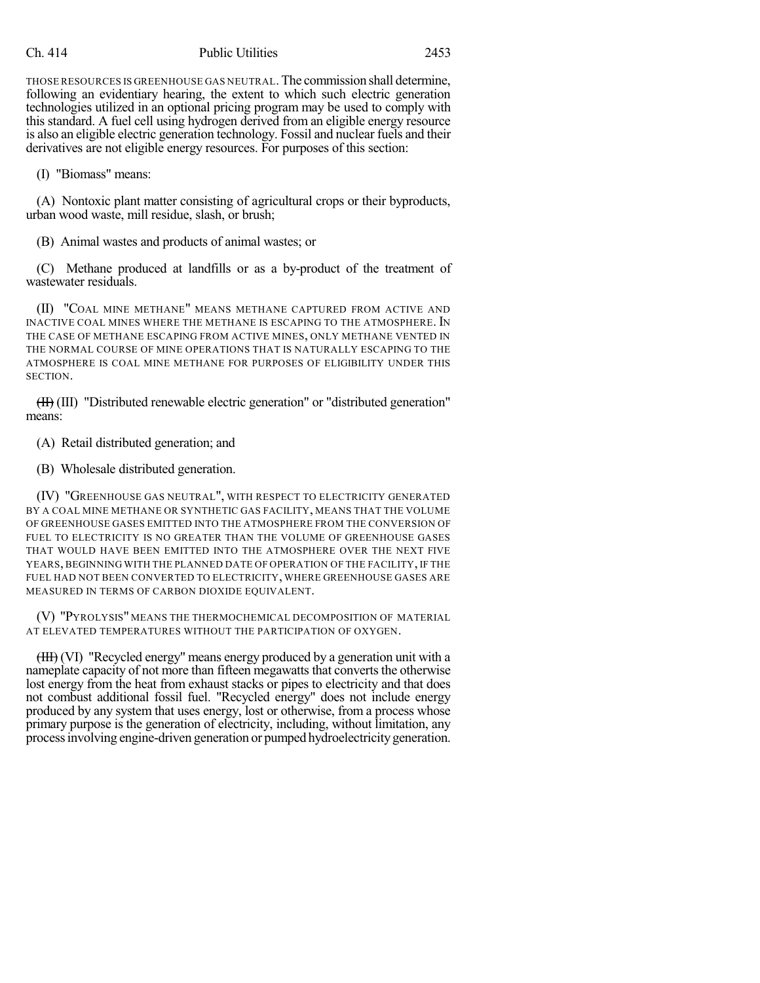## Ch. 414 Public Utilities 2453

THOSE RESOURCES IS GREENHOUSE GAS NEUTRAL. The commission shall determine, following an evidentiary hearing, the extent to which such electric generation technologies utilized in an optional pricing program may be used to comply with this standard. A fuel cell using hydrogen derived from an eligible energy resource is also an eligible electric generation technology. Fossil and nuclear fuels and their derivatives are not eligible energy resources. For purposes of this section:

(I) "Biomass" means:

(A) Nontoxic plant matter consisting of agricultural crops or their byproducts, urban wood waste, mill residue, slash, or brush;

(B) Animal wastes and products of animal wastes; or

(C) Methane produced at landfills or as a by-product of the treatment of wastewater residuals.

(II) "COAL MINE METHANE" MEANS METHANE CAPTURED FROM ACTIVE AND INACTIVE COAL MINES WHERE THE METHANE IS ESCAPING TO THE ATMOSPHERE. IN THE CASE OF METHANE ESCAPING FROM ACTIVE MINES, ONLY METHANE VENTED IN THE NORMAL COURSE OF MINE OPERATIONS THAT IS NATURALLY ESCAPING TO THE ATMOSPHERE IS COAL MINE METHANE FOR PURPOSES OF ELIGIBILITY UNDER THIS SECTION.

(II) (III) "Distributed renewable electric generation" or "distributed generation" means:

(A) Retail distributed generation; and

(B) Wholesale distributed generation.

(IV) "GREENHOUSE GAS NEUTRAL", WITH RESPECT TO ELECTRICITY GENERATED BY A COAL MINE METHANE OR SYNTHETIC GAS FACILITY, MEANS THAT THE VOLUME OF GREENHOUSE GASES EMITTED INTO THE ATMOSPHERE FROM THE CONVERSION OF FUEL TO ELECTRICITY IS NO GREATER THAN THE VOLUME OF GREENHOUSE GASES THAT WOULD HAVE BEEN EMITTED INTO THE ATMOSPHERE OVER THE NEXT FIVE YEARS, BEGINNING WITH THE PLANNED DATE OF OPERATION OF THE FACILITY, IF THE FUEL HAD NOT BEEN CONVERTED TO ELECTRICITY, WHERE GREENHOUSE GASES ARE MEASURED IN TERMS OF CARBON DIOXIDE EQUIVALENT.

(V) "PYROLYSIS" MEANS THE THERMOCHEMICAL DECOMPOSITION OF MATERIAL AT ELEVATED TEMPERATURES WITHOUT THE PARTICIPATION OF OXYGEN.

(III) (VI) "Recycled energy" means energy produced by a generation unit with a nameplate capacity of not more than fifteen megawatts that converts the otherwise lost energy from the heat from exhaust stacks or pipes to electricity and that does not combust additional fossil fuel. "Recycled energy" does not include energy produced by any system that uses energy, lost or otherwise, from a process whose primary purpose is the generation of electricity, including, without limitation, any processinvolving engine-driven generation or pumped hydroelectricitygeneration.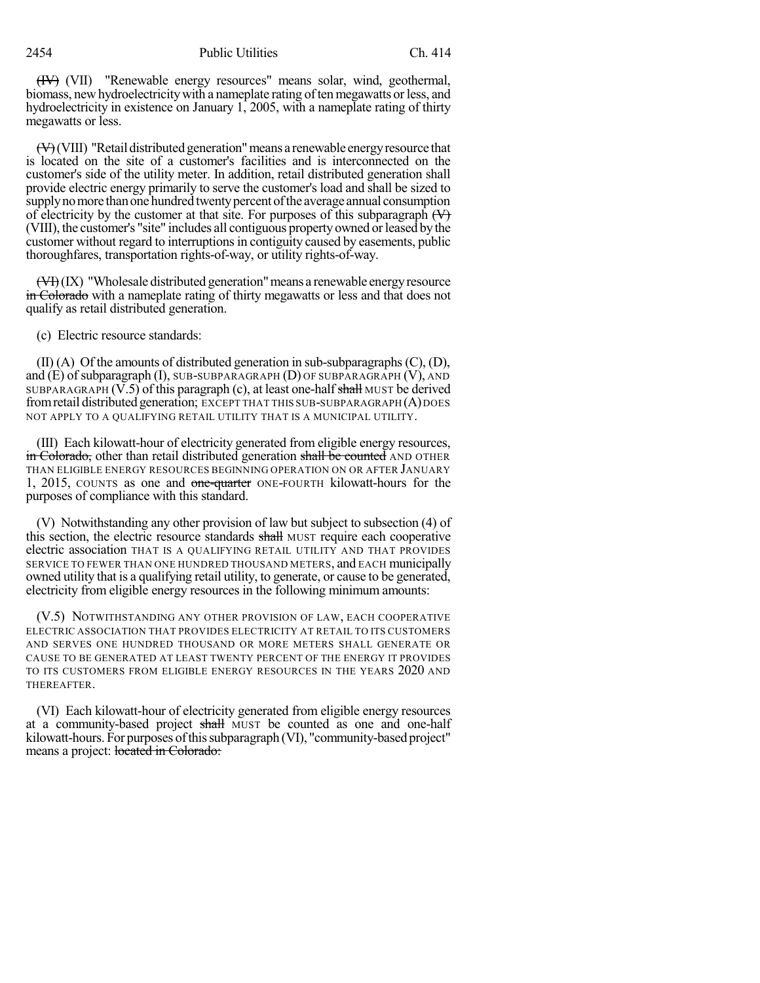(IV) (VII) "Renewable energy resources" means solar, wind, geothermal, biomass, new hydroelectricity with a nameplate rating of ten megawatts or less, and hydroelectricity in existence on January 1, 2005, with a nameplate rating of thirty megawatts or less.

 $\left(\frac{H}{V}\right)$  (VIII) "Retail distributed generation" means a renewable energy resource that is located on the site of a customer's facilities and is interconnected on the customer's side of the utility meter. In addition, retail distributed generation shall provide electric energy primarily to serve the customer's load and shall be sized to supply no more than one hundred twenty percent of the average annual consumption of electricity by the customer at that site. For purposes of this subparagraph  $(\forall)$ (VIII), the customer's "site" includes all contiguous propertyowned orleased bythe customer without regard to interruptionsin contiguity caused by easements, public thoroughfares, transportation rights-of-way, or utility rights-of-way.

 $(\overline{V}$ )(IX) "Wholesale distributed generation" means a renewable energy resource in Colorado with a nameplate rating of thirty megawatts or less and that does not qualify as retail distributed generation.

(c) Electric resource standards:

(II) (A) Of the amounts of distributed generation in sub-subparagraphs(C), (D), and  $(E)$  of subparagraph  $(I)$ , SUB-SUBPARAGRAPH  $(D)$  OF SUBPARAGRAPH  $(V)$ , AND SUBPARAGRAPH  $(V.5)$  of this paragraph  $(c)$ , at least one-half shall MUST be derived from retail distributed generation; EXCEPT THAT THIS SUB-SUBPARAGRAPH (A) DOES NOT APPLY TO A QUALIFYING RETAIL UTILITY THAT IS A MUNICIPAL UTILITY.

(III) Each kilowatt-hour of electricity generated from eligible energy resources, in Colorado, other than retail distributed generation shall be counted AND OTHER THAN ELIGIBLE ENERGY RESOURCES BEGINNING OPERATION ON OR AFTER JANUARY 1, 2015, COUNTS as one and one-quarter ONE-FOURTH kilowatt-hours for the purposes of compliance with this standard.

(V) Notwithstanding any other provision of law but subject to subsection (4) of this section, the electric resource standards shall MUST require each cooperative electric association THAT IS A QUALIFYING RETAIL UTILITY AND THAT PROVIDES SERVICE TO FEWER THAN ONE HUNDRED THOUSAND METERS, and EACH municipally owned utility that is a qualifying retail utility, to generate, or cause to be generated, electricity from eligible energy resources in the following minimum amounts:

(V.5) NOTWITHSTANDING ANY OTHER PROVISION OF LAW, EACH COOPERATIVE ELECTRIC ASSOCIATION THAT PROVIDES ELECTRICITY AT RETAIL TO ITS CUSTOMERS AND SERVES ONE HUNDRED THOUSAND OR MORE METERS SHALL GENERATE OR CAUSE TO BE GENERATED AT LEAST TWENTY PERCENT OF THE ENERGY IT PROVIDES TO ITS CUSTOMERS FROM ELIGIBLE ENERGY RESOURCES IN THE YEARS 2020 AND THEREAFTER.

(VI) Each kilowatt-hour of electricity generated from eligible energy resources at a community-based project shall MUST be counted as one and one-half kilowatt-hours. For purposes of this subparagraph (VI), "community-based project" means a project: located in Colorado: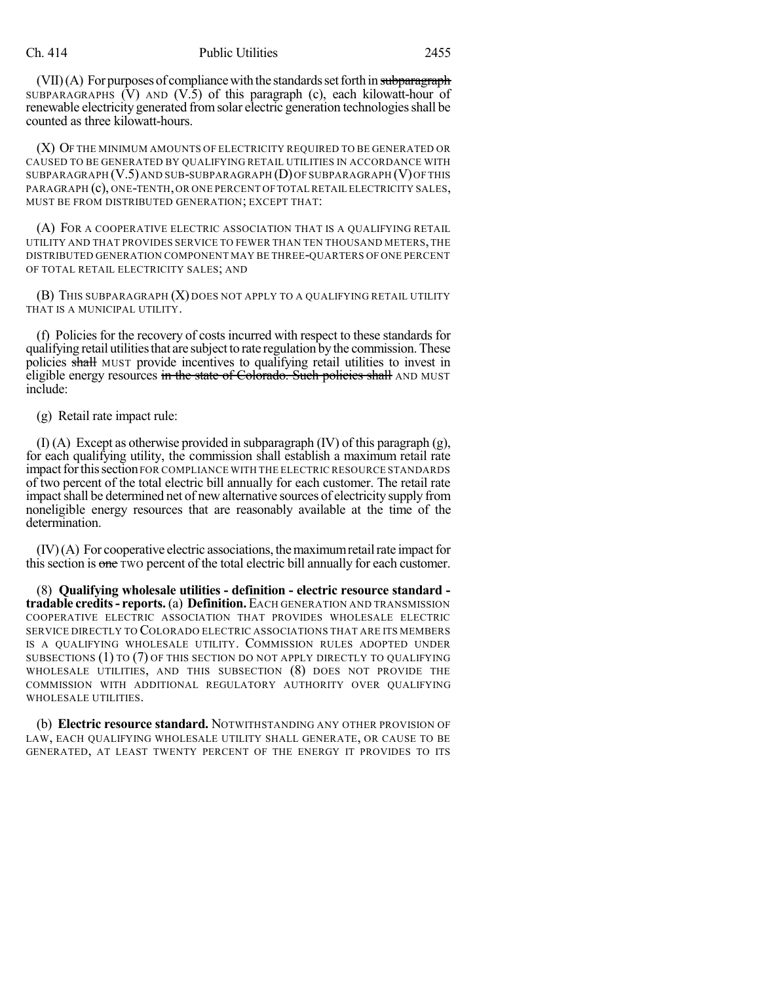$(VII)(A)$  For purposes of compliance with the standards set forth in subparagraph SUBPARAGRAPHS (V) AND (V.5) of this paragraph (c), each kilowatt-hour of renewable electricity generated from solar electric generation technologies shall be counted as three kilowatt-hours.

(X) OF THE MINIMUM AMOUNTS OF ELECTRICITY REQUIRED TO BE GENERATED OR CAUSED TO BE GENERATED BY QUALIFYING RETAIL UTILITIES IN ACCORDANCE WITH SUBPARAGRAPH (V.5)AND SUB-SUBPARAGRAPH (D)OF SUBPARAGRAPH (V)OF THIS PARAGRAPH (c), ONE-TENTH,OR ONE PERCENT OFTOTAL RETAIL ELECTRICITY SALES, MUST BE FROM DISTRIBUTED GENERATION; EXCEPT THAT:

(A) FOR A COOPERATIVE ELECTRIC ASSOCIATION THAT IS A QUALIFYING RETAIL UTILITY AND THAT PROVIDES SERVICE TO FEWER THAN TEN THOUSAND METERS,THE DISTRIBUTED GENERATION COMPONENT MAY BE THREE-QUARTERS OF ONE PERCENT OF TOTAL RETAIL ELECTRICITY SALES; AND

(B) THIS SUBPARAGRAPH (X) DOES NOT APPLY TO A QUALIFYING RETAIL UTILITY THAT IS A MUNICIPAL UTILITY.

(f) Policies for the recovery of costs incurred with respect to these standards for qualifying retail utilities that are subject to rate regulation by the commission. These policies shall MUST provide incentives to qualifying retail utilities to invest in eligible energy resources in the state of Colorado. Such policies shall AND MUST include:

(g) Retail rate impact rule:

(I) (A) Except as otherwise provided in subparagraph (IV) of this paragraph (g), for each qualifying utility, the commission shall establish a maximum retail rate impact for this section FOR COMPLIANCE WITH THE ELECTRIC RESOURCE STANDARDS of two percent of the total electric bill annually for each customer. The retail rate impact shall be determined net of new alternative sources of electricity supply from noneligible energy resources that are reasonably available at the time of the determination.

 $(IV)$  $(A)$  For cooperative electric associations, the maximum retail rate impact for this section is one two percent of the total electric bill annually for each customer.

(8) **Qualifying wholesale utilities - definition - electric resource standard tradable credits- reports.**(a) **Definition.**EACH GENERATION AND TRANSMISSION COOPERATIVE ELECTRIC ASSOCIATION THAT PROVIDES WHOLESALE ELECTRIC SERVICE DIRECTLY TO COLORADO ELECTRIC ASSOCIATIONS THAT ARE ITS MEMBERS IS A QUALIFYING WHOLESALE UTILITY. COMMISSION RULES ADOPTED UNDER SUBSECTIONS (1) TO (7) OF THIS SECTION DO NOT APPLY DIRECTLY TO QUALIFYING WHOLESALE UTILITIES, AND THIS SUBSECTION (8) DOES NOT PROVIDE THE COMMISSION WITH ADDITIONAL REGULATORY AUTHORITY OVER QUALIFYING WHOLESALE UTILITIES.

(b) **Electric resource standard.** NOTWITHSTANDING ANY OTHER PROVISION OF LAW, EACH QUALIFYING WHOLESALE UTILITY SHALL GENERATE, OR CAUSE TO BE GENERATED, AT LEAST TWENTY PERCENT OF THE ENERGY IT PROVIDES TO ITS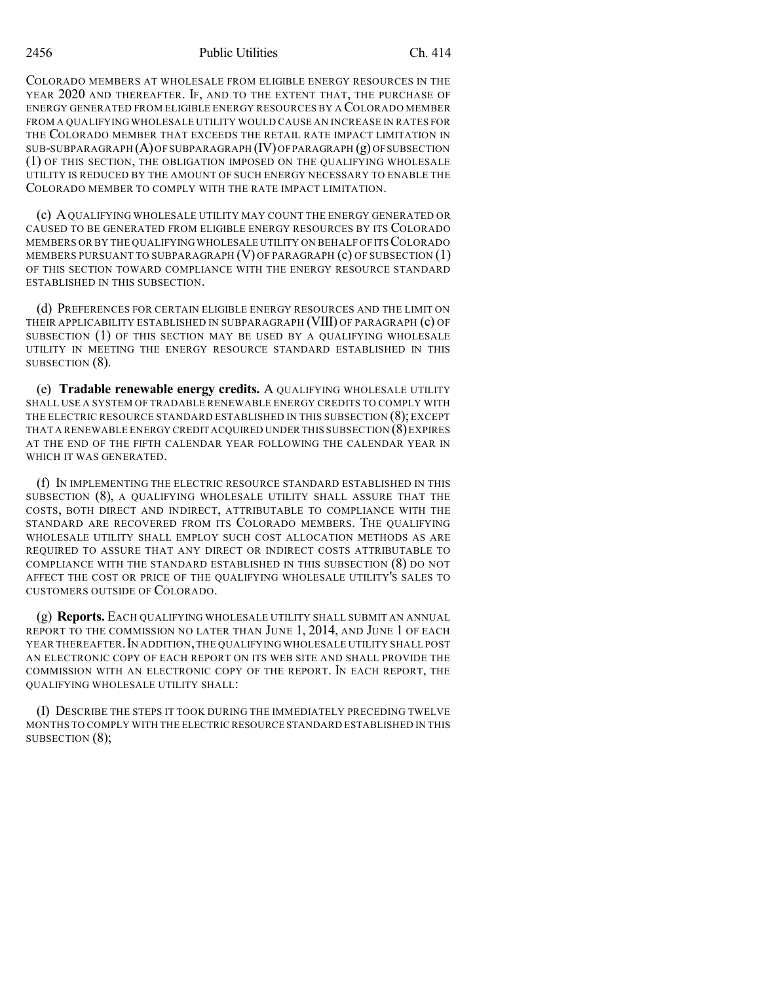COLORADO MEMBERS AT WHOLESALE FROM ELIGIBLE ENERGY RESOURCES IN THE YEAR 2020 AND THEREAFTER. IF, AND TO THE EXTENT THAT, THE PURCHASE OF ENERGY GENERATED FROM ELIGIBLE ENERGY RESOURCES BY A COLORADO MEMBER FROM A QUALIFYING WHOLESALE UTILITY WOULD CAUSE AN INCREASE IN RATES FOR THE COLORADO MEMBER THAT EXCEEDS THE RETAIL RATE IMPACT LIMITATION IN  $SUB-SUBPARAGRAPH (A)$  OF SUBPARAGRAPH  $(IV)$  OF PARAGRAPH  $(g)$  OF SUBSECTION (1) OF THIS SECTION, THE OBLIGATION IMPOSED ON THE QUALIFYING WHOLESALE UTILITY IS REDUCED BY THE AMOUNT OF SUCH ENERGY NECESSARY TO ENABLE THE COLORADO MEMBER TO COMPLY WITH THE RATE IMPACT LIMITATION.

(c) AQUALIFYING WHOLESALE UTILITY MAY COUNT THE ENERGY GENERATED OR CAUSED TO BE GENERATED FROM ELIGIBLE ENERGY RESOURCES BY ITS COLORADO MEMBERS OR BY THE QUALIFYING WHOLESALE UTILITY ON BEHALF OF ITS COLORADO MEMBERS PURSUANT TO SUBPARAGRAPH  $(V)$  OF PARAGRAPH  $(c)$  OF SUBSECTION  $(1)$ OF THIS SECTION TOWARD COMPLIANCE WITH THE ENERGY RESOURCE STANDARD ESTABLISHED IN THIS SUBSECTION.

(d) PREFERENCES FOR CERTAIN ELIGIBLE ENERGY RESOURCES AND THE LIMIT ON THEIR APPLICABILITY ESTABLISHED IN SUBPARAGRAPH (VIII) OF PARAGRAPH (c) OF SUBSECTION (1) OF THIS SECTION MAY BE USED BY A QUALIFYING WHOLESALE UTILITY IN MEETING THE ENERGY RESOURCE STANDARD ESTABLISHED IN THIS SUBSECTION (8).

(e) **Tradable renewable energy credits.** A QUALIFYING WHOLESALE UTILITY SHALL USE A SYSTEM OF TRADABLE RENEWABLE ENERGY CREDITS TO COMPLY WITH THE ELECTRIC RESOURCE STANDARD ESTABLISHED IN THIS SUBSECTION (8); EXCEPT THAT A RENEWABLE ENERGY CREDIT ACQUIRED UNDER THIS SUBSECTION  $(8)$  EXPIRES AT THE END OF THE FIFTH CALENDAR YEAR FOLLOWING THE CALENDAR YEAR IN WHICH IT WAS GENERATED.

(f) IN IMPLEMENTING THE ELECTRIC RESOURCE STANDARD ESTABLISHED IN THIS SUBSECTION (8), A QUALIFYING WHOLESALE UTILITY SHALL ASSURE THAT THE COSTS, BOTH DIRECT AND INDIRECT, ATTRIBUTABLE TO COMPLIANCE WITH THE STANDARD ARE RECOVERED FROM ITS COLORADO MEMBERS. THE QUALIFYING WHOLESALE UTILITY SHALL EMPLOY SUCH COST ALLOCATION METHODS AS ARE REQUIRED TO ASSURE THAT ANY DIRECT OR INDIRECT COSTS ATTRIBUTABLE TO COMPLIANCE WITH THE STANDARD ESTABLISHED IN THIS SUBSECTION (8) DO NOT AFFECT THE COST OR PRICE OF THE QUALIFYING WHOLESALE UTILITY'S SALES TO CUSTOMERS OUTSIDE OF COLORADO.

(g) **Reports.** EACH QUALIFYING WHOLESALE UTILITY SHALL SUBMIT AN ANNUAL REPORT TO THE COMMISSION NO LATER THAN JUNE 1, 2014, AND JUNE 1 OF EACH YEAR THEREAFTER. IN ADDITION, THE QUALIFYING WHOLESALE UTILITY SHALL POST AN ELECTRONIC COPY OF EACH REPORT ON ITS WEB SITE AND SHALL PROVIDE THE COMMISSION WITH AN ELECTRONIC COPY OF THE REPORT. IN EACH REPORT, THE QUALIFYING WHOLESALE UTILITY SHALL:

(I) DESCRIBE THE STEPS IT TOOK DURING THE IMMEDIATELY PRECEDING TWELVE MONTHS TO COMPLY WITH THE ELECTRIC RESOURCE STANDARD ESTABLISHED IN THIS SUBSECTION (8);